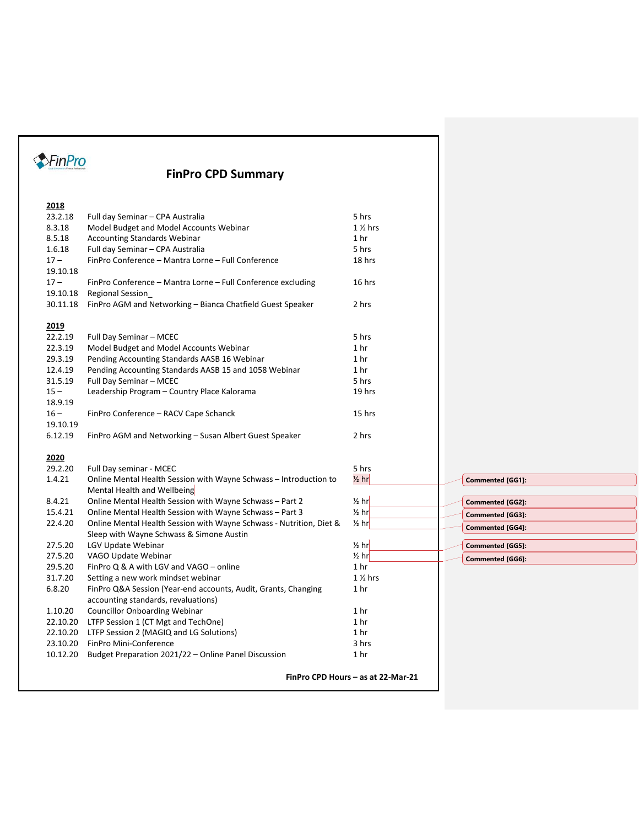# **FinPro CPD Summary**

| 2018     |                                                                                                       |                                    |                         |
|----------|-------------------------------------------------------------------------------------------------------|------------------------------------|-------------------------|
| 23.2.18  | Full day Seminar - CPA Australia                                                                      | 5 hrs                              |                         |
| 8.3.18   | Model Budget and Model Accounts Webinar                                                               | $1\frac{1}{2}$ hrs                 |                         |
| 8.5.18   | <b>Accounting Standards Webinar</b>                                                                   | 1 hr                               |                         |
| 1.6.18   | Full day Seminar - CPA Australia                                                                      | 5 hrs                              |                         |
| $17 -$   | FinPro Conference - Mantra Lorne - Full Conference                                                    | 18 hrs                             |                         |
| 19.10.18 |                                                                                                       |                                    |                         |
| $17 -$   | FinPro Conference - Mantra Lorne - Full Conference excluding                                          | 16 hrs                             |                         |
| 19.10.18 | <b>Regional Session</b>                                                                               |                                    |                         |
| 30.11.18 | FinPro AGM and Networking - Bianca Chatfield Guest Speaker                                            | 2 hrs                              |                         |
|          |                                                                                                       |                                    |                         |
| 2019     |                                                                                                       |                                    |                         |
| 22.2.19  | Full Day Seminar - MCEC                                                                               | 5 hrs                              |                         |
| 22.3.19  | Model Budget and Model Accounts Webinar                                                               | 1 hr                               |                         |
| 29.3.19  | Pending Accounting Standards AASB 16 Webinar                                                          | 1 hr                               |                         |
| 12.4.19  | Pending Accounting Standards AASB 15 and 1058 Webinar                                                 | 1 <sub>hr</sub>                    |                         |
| 31.5.19  | Full Day Seminar - MCEC                                                                               | 5 hrs                              |                         |
| $15 -$   | Leadership Program - Country Place Kalorama                                                           | 19 hrs                             |                         |
| 18.9.19  |                                                                                                       |                                    |                         |
| $16 -$   | FinPro Conference - RACV Cape Schanck                                                                 | 15 hrs                             |                         |
| 19.10.19 |                                                                                                       |                                    |                         |
| 6.12.19  | FinPro AGM and Networking – Susan Albert Guest Speaker                                                | 2 hrs                              |                         |
|          |                                                                                                       |                                    |                         |
| 2020     |                                                                                                       |                                    |                         |
| 29.2.20  | Full Day seminar - MCEC                                                                               | 5 hrs                              |                         |
| 1.4.21   | Online Mental Health Session with Wayne Schwass - Introduction to                                     | $\frac{1}{2}$ hr                   | <b>Commented [GG1]:</b> |
|          | Mental Health and Wellbeing                                                                           |                                    |                         |
| 8.4.21   | Online Mental Health Session with Wayne Schwass - Part 2                                              | $\frac{1}{2}$ hr                   | Commented [GG2]:        |
| 15.4.21  | Online Mental Health Session with Wayne Schwass - Part 3                                              | $\frac{1}{2}$ hr                   | Commented [GG3]:        |
| 22.4.20  | Online Mental Health Session with Wayne Schwass - Nutrition, Diet &                                   | $\frac{1}{2}$ hr                   | <b>Commented [GG4]:</b> |
|          | Sleep with Wayne Schwass & Simone Austin                                                              |                                    |                         |
| 27.5.20  | LGV Update Webinar                                                                                    | $\frac{1}{2}$ hr                   | Commented [GG5]:        |
| 27.5.20  | VAGO Update Webinar                                                                                   | $\frac{1}{2}$ hr                   | Commented [GG6]:        |
| 29.5.20  | FinPro Q & A with LGV and VAGO - online                                                               | 1 <sub>hr</sub>                    |                         |
| 31.7.20  | Setting a new work mindset webinar                                                                    | $1\frac{1}{2}$ hrs                 |                         |
| 6.8.20   | FinPro Q&A Session (Year-end accounts, Audit, Grants, Changing<br>accounting standards, revaluations) | 1 <sub>hr</sub>                    |                         |
| 1.10.20  | <b>Councillor Onboarding Webinar</b>                                                                  | 1 hr                               |                         |
| 22.10.20 | LTFP Session 1 (CT Mgt and TechOne)                                                                   | 1 <sub>hr</sub>                    |                         |
| 22.10.20 | LTFP Session 2 (MAGIQ and LG Solutions)                                                               | 1 <sub>hr</sub>                    |                         |
| 23.10.20 | FinPro Mini-Conference                                                                                | 3 hrs                              |                         |
| 10.12.20 | Budget Preparation 2021/22 - Online Panel Discussion                                                  | 1 <sub>hr</sub>                    |                         |
|          |                                                                                                       |                                    |                         |
|          |                                                                                                       | FinPro CPD Hours - as at 22-Mar-21 |                         |
|          |                                                                                                       |                                    |                         |